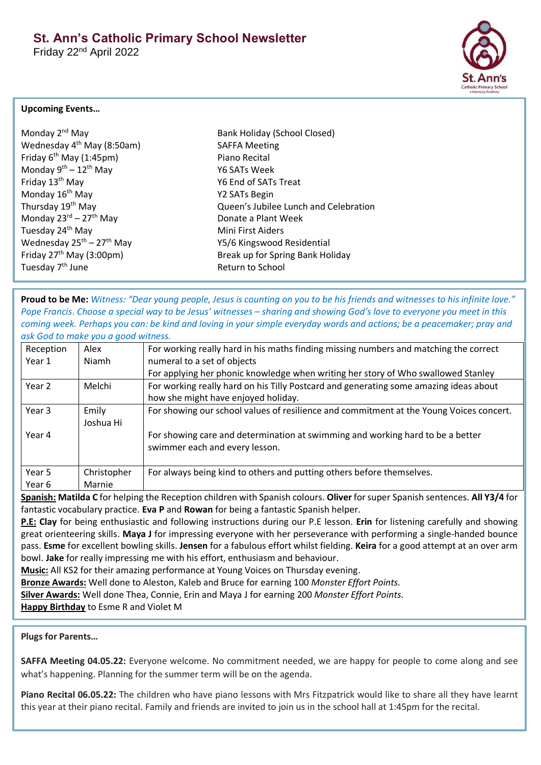Friday 22nd April 2022



## **Upcoming Events…**

| Monday 2 <sup>nd</sup> May                        |
|---------------------------------------------------|
| Wednesday 4 <sup>th</sup> May (8:50am)            |
| Friday 6 <sup>th</sup> May (1:45pm)               |
| Monday $9^{th} - 12^{th}$ May                     |
| Friday 13 <sup>th</sup> May                       |
| Monday 16 <sup>th</sup> May                       |
| Thursday 19 <sup>th</sup> May                     |
| Monday 23rd - 27 <sup>th</sup> May                |
| Tuesday 24 <sup>th</sup> May                      |
| Wednesday 25 <sup>th</sup> – 27 <sup>th</sup> May |
| Friday $27th$ May (3:00pm)                        |
| Tuesday 7 <sup>th</sup> June                      |

Bank Holiday (School Closed) SAFFA Meeting Piano Recital Y6 SATs Week Y6 End of SATs Treat Y2 SATs Begin Queen's Jubilee Lunch and Celebration Donate a Plant Week **Mini First Aiders** Y5/6 Kingswood Residential Break up for Spring Bank Holiday Return to School

**Proud to be Me:** *Witness: "Dear young people, Jesus is counting on you to be his friends and witnesses to his infinite love." Pope Francis*. *Choose a special way to be Jesus' witnesses – sharing and showing God's love to everyone you meet in this coming week. Perhaps you can: be kind and loving in your simple everyday words and actions; be a peacemaker; pray and ask God to make you a good witness.*

| Reception | Alex        | For working really hard in his maths finding missing numbers and matching the correct   |  |
|-----------|-------------|-----------------------------------------------------------------------------------------|--|
| Year 1    | Niamh       | numeral to a set of objects                                                             |  |
|           |             | For applying her phonic knowledge when writing her story of Who swallowed Stanley       |  |
| Year 2    | Melchi      | For working really hard on his Tilly Postcard and generating some amazing ideas about   |  |
|           |             | how she might have enjoyed holiday.                                                     |  |
| Year 3    | Emily       | For showing our school values of resilience and commitment at the Young Voices concert. |  |
|           | Joshua Hi   |                                                                                         |  |
| Year 4    |             | For showing care and determination at swimming and working hard to be a better          |  |
|           |             | swimmer each and every lesson.                                                          |  |
|           |             |                                                                                         |  |
| Year 5    | Christopher | For always being kind to others and putting others before themselves.                   |  |
| Year 6    | Marnie      |                                                                                         |  |

**Spanish: Matilda C** for helping the Reception children with Spanish colours. **Oliver** for super Spanish sentences. **All Y3/4** for fantastic vocabulary practice. **Eva P** and **Rowan** for being a fantastic Spanish helper.

**P.E: Clay** for being enthusiastic and following instructions during our P.E lesson. **Erin** for listening carefully and showing great orienteering skills. **Maya J** for impressing everyone with her perseverance with performing a single-handed bounce pass. **Esme** for excellent bowling skills. **Jensen** for a fabulous effort whilst fielding. **Keira** for a good attempt at an over arm bowl. **Jake** for really impressing me with his effort, enthusiasm and behaviour.

**Music:** All KS2 for their amazing performance at Young Voices on Thursday evening.

**Bronze Awards:** Well done to Aleston, Kaleb and Bruce for earning 100 *Monster Effort Points.*

**Silver Awards:** Well done Thea, Connie, Erin and Maya J for earning 200 *Monster Effort Points.*

**Happy Birthday** to Esme R and Violet M

# **Plugs for Parents…**

**SAFFA Meeting 04.05.22:** Everyone welcome. No commitment needed, we are happy for people to come along and see what's happening. Planning for the summer term will be on the agenda.

**Piano Recital 06.05.22:** The children who have piano lessons with Mrs Fitzpatrick would like to share all they have learnt this year at their piano recital. Family and friends are invited to join us in the school hall at 1:45pm for the recital.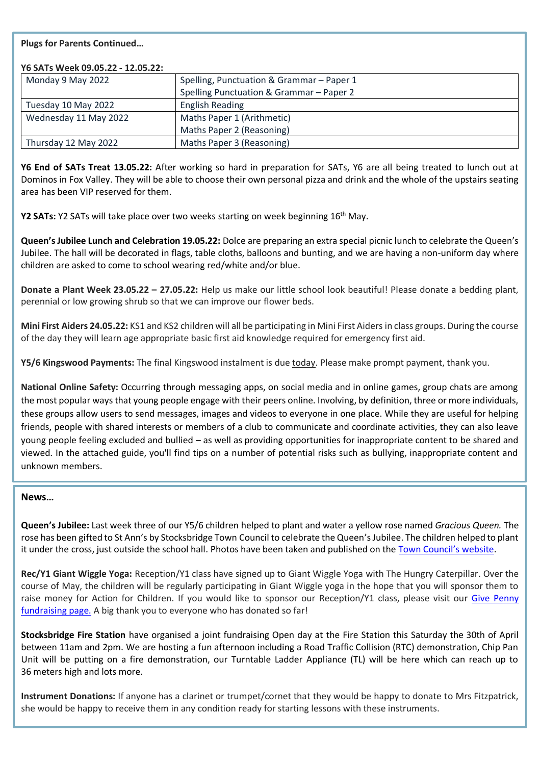## **Plugs for Parents Continued…**

| Y6 SATs Week 09.05.22 - 12.05.22: |                                           |
|-----------------------------------|-------------------------------------------|
| Monday 9 May 2022                 | Spelling, Punctuation & Grammar - Paper 1 |
|                                   | Spelling Punctuation & Grammar - Paper 2  |
| Tuesday 10 May 2022               | <b>English Reading</b>                    |
| Wednesday 11 May 2022             | Maths Paper 1 (Arithmetic)                |
|                                   | Maths Paper 2 (Reasoning)                 |
| Thursday 12 May 2022              | Maths Paper 3 (Reasoning)                 |

**Y6 End of SATs Treat 13.05.22:** After working so hard in preparation for SATs, Y6 are all being treated to lunch out at Dominos in Fox Valley. They will be able to choose their own personal pizza and drink and the whole of the upstairs seating area has been VIP reserved for them.

**Y2 SATs:** Y2 SATs will take place over two weeks starting on week beginning 16th May.

**Queen's Jubilee Lunch and Celebration 19.05.22:** Dolce are preparing an extra special picnic lunch to celebrate the Queen's Jubilee. The hall will be decorated in flags, table cloths, balloons and bunting, and we are having a non-uniform day where children are asked to come to school wearing red/white and/or blue.

**Donate a Plant Week 23.05.22 – 27.05.22:** Help us make our little school look beautiful! Please donate a bedding plant, perennial or low growing shrub so that we can improve our flower beds.

**Mini First Aiders 24.05.22:** KS1 and KS2 children will all be participating in Mini First Aiders in class groups. During the course of the day they will learn age appropriate basic first aid knowledge required for emergency first aid.

**Y5/6 Kingswood Payments:** The final Kingswood instalment is due today. Please make prompt payment, thank you.

**National Online Safety:** Occurring through messaging apps, on social media and in online games, group chats are among the most popular ways that young people engage with their peers online. Involving, by definition, three or more individuals, these groups allow users to send messages, images and videos to everyone in one place. While they are useful for helping friends, people with shared interests or members of a club to communicate and coordinate activities, they can also leave young people feeling excluded and bullied – as well as providing opportunities for inappropriate content to be shared and viewed. In the attached guide, you'll find tips on a number of potential risks such as bullying, inappropriate content and unknown members.

#### **News…**

**Queen's Jubilee:** Last week three of our Y5/6 children helped to plant and water a yellow rose named *Gracious Queen.* The rose has been gifted to St Ann's by Stocksbridge Town Council to celebrate the Queen's Jubilee. The children helped to plant it under the cross, just outside the school hall. Photos have been taken and published on the [Town Council](http://www.stocksbridge-council.co.uk/newsandevents)'s website.

**Rec/Y1 Giant Wiggle Yoga:** Reception/Y1 class have signed up to Giant Wiggle Yoga with The Hungry Caterpillar. Over the course of May, the children will be regularly participating in Giant Wiggle yoga in the hope that you will sponsor them to raise money for Action for Children. If you would like to sponsor our Reception/Y1 class, please visit our [Give Penny](https://givepenny.com/stanns_giant_wiggle_yoga)  [fundraising page.](https://givepenny.com/stanns_giant_wiggle_yoga) A big thank you to everyone who has donated so far!

**Stocksbridge Fire Station** have organised a joint fundraising Open day at the Fire Station this Saturday the 30th of April between 11am and 2pm. We are hosting a fun afternoon including a Road Traffic Collision (RTC) demonstration, Chip Pan Unit will be putting on a fire demonstration, our Turntable Ladder Appliance (TL) will be here which can reach up to 36 meters high and lots more.

**Instrument Donations:** If anyone has a clarinet or trumpet/cornet that they would be happy to donate to Mrs Fitzpatrick, she would be happy to receive them in any condition ready for starting lessons with these instruments.